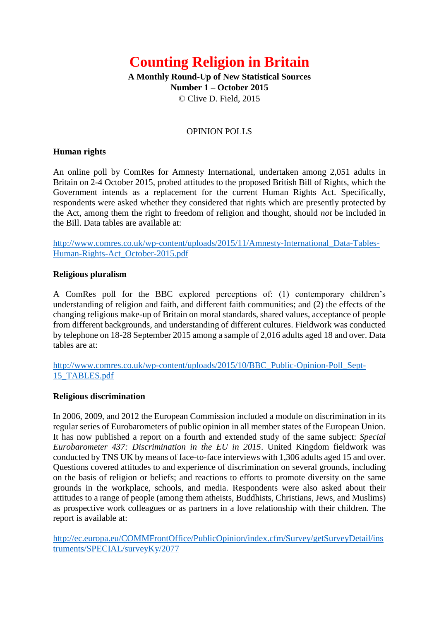# **Counting Religion in Britain**

**A Monthly Round-Up of New Statistical Sources Number 1 – October 2015**  © Clive D. Field, 2015

#### OPINION POLLS

#### **Human rights**

An online poll by ComRes for Amnesty International, undertaken among 2,051 adults in Britain on 2-4 October 2015, probed attitudes to the proposed British Bill of Rights, which the Government intends as a replacement for the current Human Rights Act. Specifically, respondents were asked whether they considered that rights which are presently protected by the Act, among them the right to freedom of religion and thought, should *not* be included in the Bill. Data tables are available at:

[http://www.comres.co.uk/wp-content/uploads/2015/11/Amnesty-International\\_Data-Tables-](http://www.comres.co.uk/wp-content/uploads/2015/11/Amnesty-International_Data-Tables-Human-Rights-Act_October-2015.pdf)[Human-Rights-Act\\_October-2015.pdf](http://www.comres.co.uk/wp-content/uploads/2015/11/Amnesty-International_Data-Tables-Human-Rights-Act_October-2015.pdf)

## **Religious pluralism**

A ComRes poll for the BBC explored perceptions of: (1) contemporary children's understanding of religion and faith, and different faith communities; and (2) the effects of the changing religious make-up of Britain on moral standards, shared values, acceptance of people from different backgrounds, and understanding of different cultures. Fieldwork was conducted by telephone on 18-28 September 2015 among a sample of 2,016 adults aged 18 and over. Data tables are at:

[http://www.comres.co.uk/wp-content/uploads/2015/10/BBC\\_Public-Opinion-Poll\\_Sept-](http://www.comres.co.uk/wp-content/uploads/2015/10/BBC_Public-Opinion-Poll_Sept-15_TABLES.pdf)[15\\_TABLES.pdf](http://www.comres.co.uk/wp-content/uploads/2015/10/BBC_Public-Opinion-Poll_Sept-15_TABLES.pdf)

#### **Religious discrimination**

In 2006, 2009, and 2012 the European Commission included a module on discrimination in its regular series of Eurobarometers of public opinion in all member states of the European Union. It has now published a report on a fourth and extended study of the same subject: *Special Eurobarometer 437: Discrimination in the EU in 2015*. United Kingdom fieldwork was conducted by TNS UK by means of face-to-face interviews with 1,306 adults aged 15 and over. Questions covered attitudes to and experience of discrimination on several grounds, including on the basis of religion or beliefs; and reactions to efforts to promote diversity on the same grounds in the workplace, schools, and media. Respondents were also asked about their attitudes to a range of people (among them atheists, Buddhists, Christians, Jews, and Muslims) as prospective work colleagues or as partners in a love relationship with their children. The report is available at:

[http://ec.europa.eu/COMMFrontOffice/PublicOpinion/index.cfm/Survey/getSurveyDetail/ins](http://ec.europa.eu/COMMFrontOffice/PublicOpinion/index.cfm/Survey/getSurveyDetail/instruments/SPECIAL/surveyKy/2077) [truments/SPECIAL/surveyKy/2077](http://ec.europa.eu/COMMFrontOffice/PublicOpinion/index.cfm/Survey/getSurveyDetail/instruments/SPECIAL/surveyKy/2077)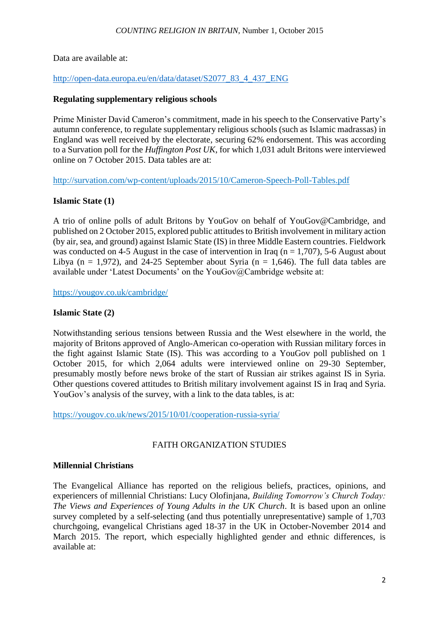Data are available at:

[http://open-data.europa.eu/en/data/dataset/S2077\\_83\\_4\\_437\\_ENG](http://open-data.europa.eu/en/data/dataset/S2077_83_4_437_ENG)

## **Regulating supplementary religious schools**

Prime Minister David Cameron's commitment, made in his speech to the Conservative Party's autumn conference, to regulate supplementary religious schools (such as Islamic madrassas) in England was well received by the electorate, securing 62% endorsement. This was according to a Survation poll for the *Huffington Post UK*, for which 1,031 adult Britons were interviewed online on 7 October 2015. Data tables are at:

<http://survation.com/wp-content/uploads/2015/10/Cameron-Speech-Poll-Tables.pdf>

# **Islamic State (1)**

A trio of online polls of adult Britons by YouGov on behalf of YouGov@Cambridge, and published on 2 October 2015, explored public attitudes to British involvement in military action (by air, sea, and ground) against Islamic State (IS) in three Middle Eastern countries. Fieldwork was conducted on 4-5 August in the case of intervention in Iraq ( $n = 1,707$ ), 5-6 August about Libya ( $n = 1,972$ ), and 24-25 September about Syria ( $n = 1,646$ ). The full data tables are available under 'Latest Documents' on the YouGov@Cambridge website at:

<https://yougov.co.uk/cambridge/>

# **Islamic State (2)**

Notwithstanding serious tensions between Russia and the West elsewhere in the world, the majority of Britons approved of Anglo-American co-operation with Russian military forces in the fight against Islamic State (IS). This was according to a YouGov poll published on 1 October 2015, for which 2,064 adults were interviewed online on 29-30 September, presumably mostly before news broke of the start of Russian air strikes against IS in Syria. Other questions covered attitudes to British military involvement against IS in Iraq and Syria. YouGov's analysis of the survey, with a link to the data tables, is at:

<https://yougov.co.uk/news/2015/10/01/cooperation-russia-syria/>

## FAITH ORGANIZATION STUDIES

## **Millennial Christians**

The Evangelical Alliance has reported on the religious beliefs, practices, opinions, and experiencers of millennial Christians: Lucy Olofinjana, *Building Tomorrow's Church Today: The Views and Experiences of Young Adults in the UK Church*. It is based upon an online survey completed by a self-selecting (and thus potentially unrepresentative) sample of 1,703 churchgoing, evangelical Christians aged 18-37 in the UK in October-November 2014 and March 2015. The report, which especially highlighted gender and ethnic differences, is available at: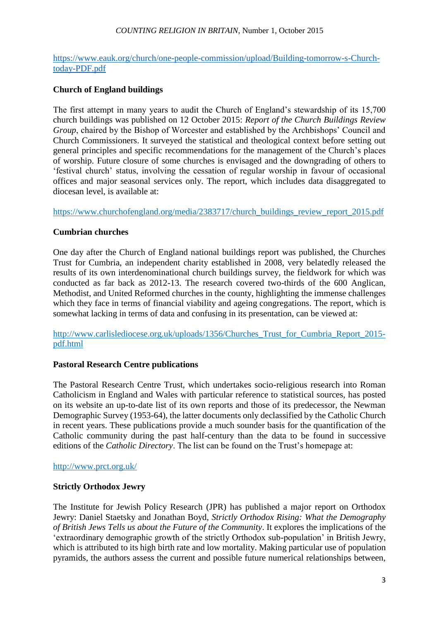#### *COUNTING RELIGION IN BRITAIN*, Number 1, October 2015

[https://www.eauk.org/church/one-people-commission/upload/Building-tomorrow-s-Church](https://www.eauk.org/church/one-people-commission/upload/Building-tomorrow-s-Church-today-PDF.pdf)[today-PDF.pdf](https://www.eauk.org/church/one-people-commission/upload/Building-tomorrow-s-Church-today-PDF.pdf)

## **Church of England buildings**

The first attempt in many years to audit the Church of England's stewardship of its 15,700 church buildings was published on 12 October 2015: *Report of the Church Buildings Review Group*, chaired by the Bishop of Worcester and established by the Archbishops' Council and Church Commissioners. It surveyed the statistical and theological context before setting out general principles and specific recommendations for the management of the Church's places of worship. Future closure of some churches is envisaged and the downgrading of others to 'festival church' status, involving the cessation of regular worship in favour of occasional offices and major seasonal services only. The report, which includes data disaggregated to diocesan level, is available at:

[https://www.churchofengland.org/media/2383717/church\\_buildings\\_review\\_report\\_2015.pdf](https://www.churchofengland.org/media/2383717/church_buildings_review_report_2015.pdf)

## **Cumbrian churches**

One day after the Church of England national buildings report was published, the Churches Trust for Cumbria, an independent charity established in 2008, very belatedly released the results of its own interdenominational church buildings survey, the fieldwork for which was conducted as far back as 2012-13. The research covered two-thirds of the 600 Anglican, Methodist, and United Reformed churches in the county, highlighting the immense challenges which they face in terms of financial viability and ageing congregations. The report, which is somewhat lacking in terms of data and confusing in its presentation, can be viewed at:

[http://www.carlislediocese.org.uk/uploads/1356/Churches\\_Trust\\_for\\_Cumbria\\_Report\\_2015](http://www.carlislediocese.org.uk/uploads/1356/Churches_Trust_for_Cumbria_Report_2015-pdf.html) [pdf.html](http://www.carlislediocese.org.uk/uploads/1356/Churches_Trust_for_Cumbria_Report_2015-pdf.html)

#### **Pastoral Research Centre publications**

The Pastoral Research Centre Trust, which undertakes socio-religious research into Roman Catholicism in England and Wales with particular reference to statistical sources, has posted on its website an up-to-date list of its own reports and those of its predecessor, the Newman Demographic Survey (1953-64), the latter documents only declassified by the Catholic Church in recent years. These publications provide a much sounder basis for the quantification of the Catholic community during the past half-century than the data to be found in successive editions of the *Catholic Directory*. The list can be found on the Trust's homepage at:

#### <http://www.prct.org.uk/>

#### **Strictly Orthodox Jewry**

The Institute for Jewish Policy Research (JPR) has published a major report on Orthodox Jewry: Daniel Staetsky and Jonathan Boyd, *Strictly Orthodox Rising: What the Demography of British Jews Tells us about the Future of the Community*. It explores the implications of the 'extraordinary demographic growth of the strictly Orthodox sub-population' in British Jewry, which is attributed to its high birth rate and low mortality. Making particular use of population pyramids, the authors assess the current and possible future numerical relationships between,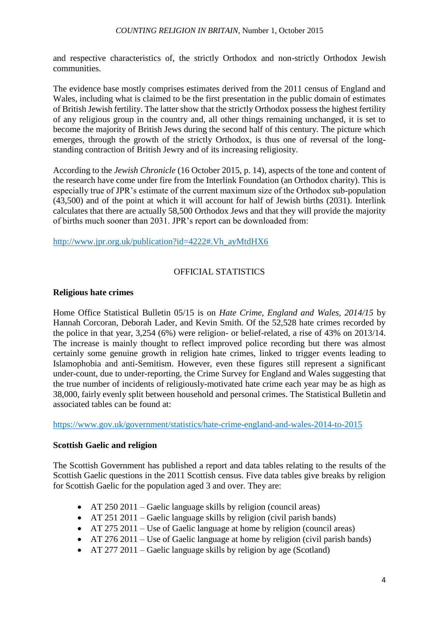and respective characteristics of, the strictly Orthodox and non-strictly Orthodox Jewish communities.

The evidence base mostly comprises estimates derived from the 2011 census of England and Wales, including what is claimed to be the first presentation in the public domain of estimates of British Jewish fertility. The latter show that the strictly Orthodox possess the highest fertility of any religious group in the country and, all other things remaining unchanged, it is set to become the majority of British Jews during the second half of this century. The picture which emerges, through the growth of the strictly Orthodox, is thus one of reversal of the longstanding contraction of British Jewry and of its increasing religiosity.

According to the *Jewish Chronicle* (16 October 2015, p. 14), aspects of the tone and content of the research have come under fire from the Interlink Foundation (an Orthodox charity). This is especially true of JPR's estimate of the current maximum size of the Orthodox sub-population (43,500) and of the point at which it will account for half of Jewish births (2031). Interlink calculates that there are actually 58,500 Orthodox Jews and that they will provide the majority of births much sooner than 2031. JPR's report can be downloaded from:

[http://www.jpr.org.uk/publication?id=4222#.Vh\\_ayMtdHX6](http://www.jpr.org.uk/publication?id=4222#.Vh_ayMtdHX6)

# OFFICIAL STATISTICS

## **Religious hate crimes**

Home Office Statistical Bulletin 05/15 is on *Hate Crime, England and Wales, 2014/15* by Hannah Corcoran, Deborah Lader, and Kevin Smith. Of the 52,528 hate crimes recorded by the police in that year, 3,254 (6%) were religion- or belief-related, a rise of 43% on 2013/14. The increase is mainly thought to reflect improved police recording but there was almost certainly some genuine growth in religion hate crimes, linked to trigger events leading to Islamophobia and anti-Semitism. However, even these figures still represent a significant under-count, due to under-reporting, the Crime Survey for England and Wales suggesting that the true number of incidents of religiously-motivated hate crime each year may be as high as 38,000, fairly evenly split between household and personal crimes. The Statistical Bulletin and associated tables can be found at:

<https://www.gov.uk/government/statistics/hate-crime-england-and-wales-2014-to-2015>

## **Scottish Gaelic and religion**

The Scottish Government has published a report and data tables relating to the results of the Scottish Gaelic questions in the 2011 Scottish census. Five data tables give breaks by religion for Scottish Gaelic for the population aged 3 and over. They are:

- AT 250 2011 Gaelic language skills by religion (council areas)
- AT 251 2011 Gaelic language skills by religion (civil parish bands)
- AT 275 2011 Use of Gaelic language at home by religion (council areas)
- AT 276 2011 Use of Gaelic language at home by religion (civil parish bands)
- AT 277 2011 Gaelic language skills by religion by age (Scotland)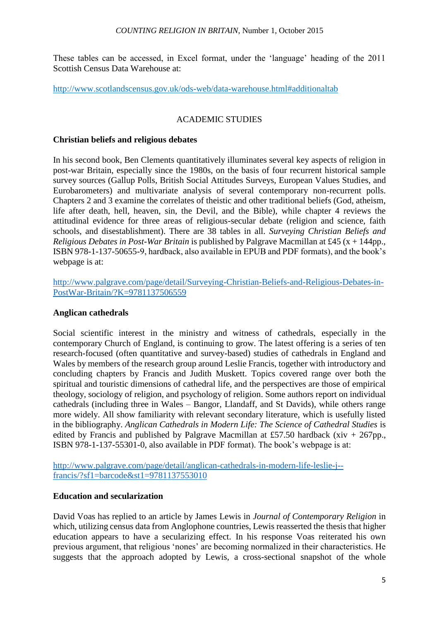These tables can be accessed, in Excel format, under the 'language' heading of the 2011 Scottish Census Data Warehouse at:

<http://www.scotlandscensus.gov.uk/ods-web/data-warehouse.html#additionaltab>

# ACADEMIC STUDIES

## **Christian beliefs and religious debates**

In his second book, Ben Clements quantitatively illuminates several key aspects of religion in post-war Britain, especially since the 1980s, on the basis of four recurrent historical sample survey sources (Gallup Polls, British Social Attitudes Surveys, European Values Studies, and Eurobarometers) and multivariate analysis of several contemporary non-recurrent polls. Chapters 2 and 3 examine the correlates of theistic and other traditional beliefs (God, atheism, life after death, hell, heaven, sin, the Devil, and the Bible), while chapter 4 reviews the attitudinal evidence for three areas of religious-secular debate (religion and science, faith schools, and disestablishment). There are 38 tables in all. *Surveying Christian Beliefs and Religious Debates in Post-War Britain* is published by Palgrave Macmillan at £45 (x + 144pp., ISBN 978-1-137-50655-9, hardback, also available in EPUB and PDF formats), and the book's webpage is at:

[http://www.palgrave.com/page/detail/Surveying-Christian-Beliefs-and-Religious-Debates-in-](http://www.palgrave.com/page/detail/Surveying-Christian-Beliefs-and-Religious-Debates-in-PostWar-Britain/?K=9781137506559)[PostWar-Britain/?K=9781137506559](http://www.palgrave.com/page/detail/Surveying-Christian-Beliefs-and-Religious-Debates-in-PostWar-Britain/?K=9781137506559)

## **Anglican cathedrals**

Social scientific interest in the ministry and witness of cathedrals, especially in the contemporary Church of England, is continuing to grow. The latest offering is a series of ten research-focused (often quantitative and survey-based) studies of cathedrals in England and Wales by members of the research group around Leslie Francis, together with introductory and concluding chapters by Francis and Judith Muskett. Topics covered range over both the spiritual and touristic dimensions of cathedral life, and the perspectives are those of empirical theology, sociology of religion, and psychology of religion. Some authors report on individual cathedrals (including three in Wales – Bangor, Llandaff, and St Davids), while others range more widely. All show familiarity with relevant secondary literature, which is usefully listed in the bibliography. *Anglican Cathedrals in Modern Life: The Science of Cathedral Studies* is edited by Francis and published by Palgrave Macmillan at £57.50 hardback (xiv + 267pp., ISBN 978-1-137-55301-0, also available in PDF format). The book's webpage is at:

[http://www.palgrave.com/page/detail/anglican-cathedrals-in-modern-life-leslie-j-](http://www.palgrave.com/page/detail/anglican-cathedrals-in-modern-life-leslie-j--francis/?sf1=barcode&st1=9781137553010) [francis/?sf1=barcode&st1=9781137553010](http://www.palgrave.com/page/detail/anglican-cathedrals-in-modern-life-leslie-j--francis/?sf1=barcode&st1=9781137553010)

## **Education and secularization**

David Voas has replied to an article by James Lewis in *Journal of Contemporary Religion* in which, utilizing census data from Anglophone countries, Lewis reasserted the thesis that higher education appears to have a secularizing effect. In his response Voas reiterated his own previous argument, that religious 'nones' are becoming normalized in their characteristics. He suggests that the approach adopted by Lewis, a cross-sectional snapshot of the whole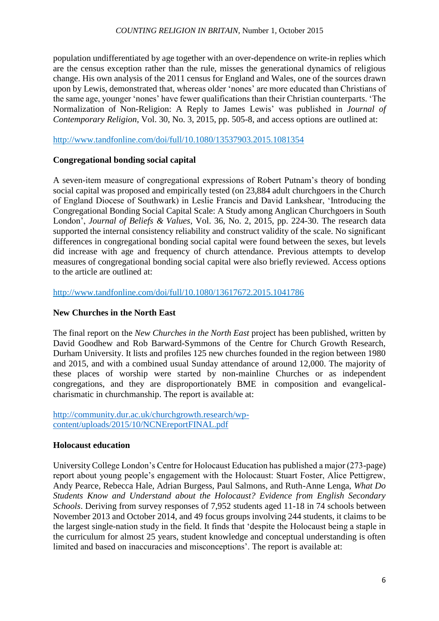population undifferentiated by age together with an over-dependence on write-in replies which are the census exception rather than the rule, misses the generational dynamics of religious change. His own analysis of the 2011 census for England and Wales, one of the sources drawn upon by Lewis, demonstrated that, whereas older 'nones' are more educated than Christians of the same age, younger 'nones' have fewer qualifications than their Christian counterparts. 'The Normalization of Non-Religion: A Reply to James Lewis' was published in *Journal of Contemporary Religion*, Vol. 30, No. 3, 2015, pp. 505-8, and access options are outlined at:

<http://www.tandfonline.com/doi/full/10.1080/13537903.2015.1081354>

## **Congregational bonding social capital**

A seven-item measure of congregational expressions of Robert Putnam's theory of bonding social capital was proposed and empirically tested (on 23,884 adult churchgoers in the Church of England Diocese of Southwark) in Leslie Francis and David Lankshear, 'Introducing the Congregational Bonding Social Capital Scale: A Study among Anglican Churchgoers in South London', *Journal of Beliefs & Values*, Vol. 36, No. 2, 2015, pp. 224-30. The research data supported the internal consistency reliability and construct validity of the scale. No significant differences in congregational bonding social capital were found between the sexes, but levels did increase with age and frequency of church attendance. Previous attempts to develop measures of congregational bonding social capital were also briefly reviewed. Access options to the article are outlined at:

<http://www.tandfonline.com/doi/full/10.1080/13617672.2015.1041786>

# **New Churches in the North East**

The final report on the *New Churches in the North East* project has been published, written by David Goodhew and Rob Barward-Symmons of the Centre for Church Growth Research, Durham University. It lists and profiles 125 new churches founded in the region between 1980 and 2015, and with a combined usual Sunday attendance of around 12,000. The majority of these places of worship were started by non-mainline Churches or as independent congregations, and they are disproportionately BME in composition and evangelicalcharismatic in churchmanship. The report is available at:

[http://community.dur.ac.uk/churchgrowth.research/wp](http://community.dur.ac.uk/churchgrowth.research/wp-content/uploads/2015/10/NCNEreportFINAL.pdf)[content/uploads/2015/10/NCNEreportFINAL.pdf](http://community.dur.ac.uk/churchgrowth.research/wp-content/uploads/2015/10/NCNEreportFINAL.pdf)

## **Holocaust education**

University College London's Centre for Holocaust Education has published a major (273-page) report about young people's engagement with the Holocaust: Stuart Foster, Alice Pettigrew, Andy Pearce, Rebecca Hale, Adrian Burgess, Paul Salmons, and Ruth-Anne Lenga, *What Do Students Know and Understand about the Holocaust? Evidence from English Secondary Schools*. Deriving from survey responses of 7,952 students aged 11-18 in 74 schools between November 2013 and October 2014, and 49 focus groups involving 244 students, it claims to be the largest single-nation study in the field. It finds that 'despite the Holocaust being a staple in the curriculum for almost 25 years, student knowledge and conceptual understanding is often limited and based on inaccuracies and misconceptions'. The report is available at: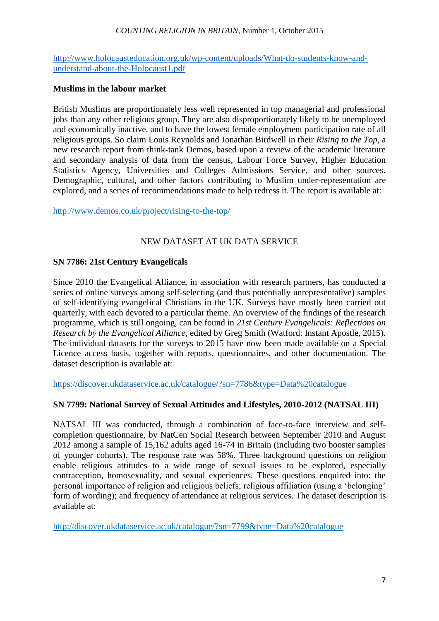#### *COUNTING RELIGION IN BRITAIN*, Number 1, October 2015

[http://www.holocausteducation.org.uk/wp-content/uploads/What-do-students-know-and](http://www.holocausteducation.org.uk/wp-content/uploads/What-do-students-know-and-understand-about-the-Holocaust1.pdf)[understand-about-the-Holocaust1.pdf](http://www.holocausteducation.org.uk/wp-content/uploads/What-do-students-know-and-understand-about-the-Holocaust1.pdf)

#### **Muslims in the labour market**

British Muslims are proportionately less well represented in top managerial and professional jobs than any other religious group. They are also disproportionately likely to be unemployed and economically inactive, and to have the lowest female employment participation rate of all religious groups. So claim Louis Reynolds and Jonathan Birdwell in their *Rising to the Top*, a new research report from think-tank Demos, based upon a review of the academic literature and secondary analysis of data from the census, Labour Force Survey, Higher Education Statistics Agency, Universities and Colleges Admissions Service, and other sources. Demographic, cultural, and other factors contributing to Muslim under-representation are explored, and a series of recommendations made to help redress it. The report is available at:

<http://www.demos.co.uk/project/rising-to-the-top/>

## NEW DATASET AT UK DATA SERVICE

## **SN 7786: 21st Century Evangelicals**

Since 2010 the Evangelical Alliance, in association with research partners, has conducted a series of online surveys among self-selecting (and thus potentially unrepresentative) samples of self-identifying evangelical Christians in the UK. Surveys have mostly been carried out quarterly, with each devoted to a particular theme. An overview of the findings of the research programme, which is still ongoing, can be found in *21st Century Evangelicals: Reflections on Research by the Evangelical Alliance*, edited by Greg Smith (Watford: Instant Apostle, 2015). The individual datasets for the surveys to 2015 have now been made available on a Special Licence access basis, together with reports, questionnaires, and other documentation. The dataset description is available at:

<https://discover.ukdataservice.ac.uk/catalogue/?sn=7786&type=Data%20catalogue>

## **SN 7799: National Survey of Sexual Attitudes and Lifestyles, 2010-2012 (NATSAL III)**

NATSAL III was conducted, through a combination of face-to-face interview and selfcompletion questionnaire, by NatCen Social Research between September 2010 and August 2012 among a sample of 15,162 adults aged 16-74 in Britain (including two booster samples of younger cohorts). The response rate was 58%. Three background questions on religion enable religious attitudes to a wide range of sexual issues to be explored, especially contraception, homosexuality, and sexual experiences. These questions enquired into: the personal importance of religion and religious beliefs; religious affiliation (using a 'belonging' form of wording); and frequency of attendance at religious services. The dataset description is available at:

<http://discover.ukdataservice.ac.uk/catalogue/?sn=7799&type=Data%20catalogue>